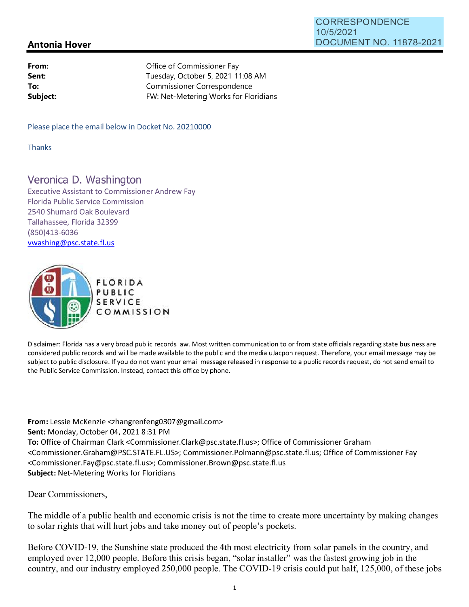## CORRESPONDENCE 10/5/2021 DOCUMENT NO. 11878-2021

## **Antonia Hover**

| From:    | Office of Commissioner Fay            |
|----------|---------------------------------------|
| Sent:    | Tuesday, October 5, 2021 11:08 AM     |
| To:      | Commissioner Correspondence           |
| Subject: | FW: Net-Metering Works for Floridians |

Please place the email below in Docket No. 20210000

Thanks

## Veronica D. Washington

Executive Assistant to Commissioner Andrew Fay Florida Public Service Commission 2540 Shumard Oak Boulevard Tallahassee, Florida 32399 (850)413-6036 vwashing@psc.state.fl.us



Disclaimer: Florida has a very broad public records law. Most written communication to or from state officials regarding state business are considered public records and will be made available to the public and the media uJacpon request. Therefore, your email message may be subject to public disclosure. If you do not want your email message released in response to a public records request, do not send email to the Public Service Commission. Instead, contact this office by phone.

**From:** Lessie McKenzie <zhangrenfeng0307@gmail.com> **Sent:** Monday, October 04, 20218:31 PM **To:** Office of Chairman Clark <Commissioner.Clark@psc.state.fl.us>; Office of Commissioner Graham <Commissioner.Graham@PSC.STATE.FL.US>; Commissioner.Polmann@psc.state.fl.us; Office of Commissioner Fay <Commissioner.Fay@psc.state.fl.us>; Commissioner.Brown@psc.state.fl.us **Subject:** Net-Metering Works for Floridians

Dear Commissioners,

The middle of a public health and economic crisis is not the time to create more uncertainty by making changes to solar rights that will hurt jobs and take money out of people's pockets.

Before COVID-19, the Sunshine state produced the 4th most electricity from solar panels in the country, and employed over 12,000 people. Before this crisis began, "solar installer" was the fastest growing job in the country, and our industry employed 250,000 people. The COVID-19 crisis could put half, 125,000, of these jobs